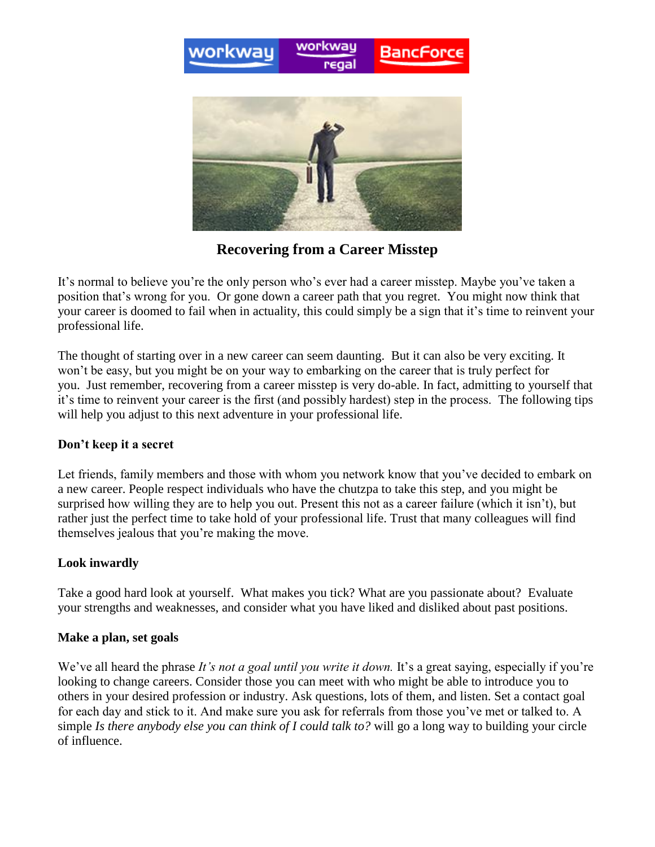

**Recovering from a Career Misstep**

It's normal to believe you're the only person who's ever had a career misstep. Maybe you've taken a position that's wrong for you. Or gone down a career path that you regret. You might now think that your career is doomed to fail when in actuality, this could simply be a sign that it's time to reinvent your professional life.

The thought of starting over in a new career can seem daunting. But it can also be very exciting. It won't be easy, but you might be on your way to embarking on the career that is truly perfect for you. Just remember, recovering from a career misstep is very do-able. In fact, admitting to yourself that it's time to reinvent your career is the first (and possibly hardest) step in the process. The following tips will help you adjust to this next adventure in your professional life.

# **Don't keep it a secret**

Let friends, family members and those with whom you network know that you've decided to embark on a new career. People respect individuals who have the chutzpa to take this step, and you might be surprised how willing they are to help you out. Present this not as a career failure (which it isn't), but rather just the perfect time to take hold of your professional life. Trust that many colleagues will find themselves jealous that you're making the move.

# **Look inwardly**

Take a good hard look at yourself. What makes you tick? What are you passionate about? Evaluate your strengths and weaknesses, and consider what you have liked and disliked about past positions.

# **Make a plan, set goals**

We've all heard the phrase *It's not a goal until you write it down*. It's a great saying, especially if you're looking to change careers. Consider those you can meet with who might be able to introduce you to others in your desired profession or industry. Ask questions, lots of them, and listen. Set a contact goal for each day and stick to it. And make sure you ask for referrals from those you've met or talked to. A simple *Is there anybody else you can think of I could talk to?* will go a long way to building your circle of influence.